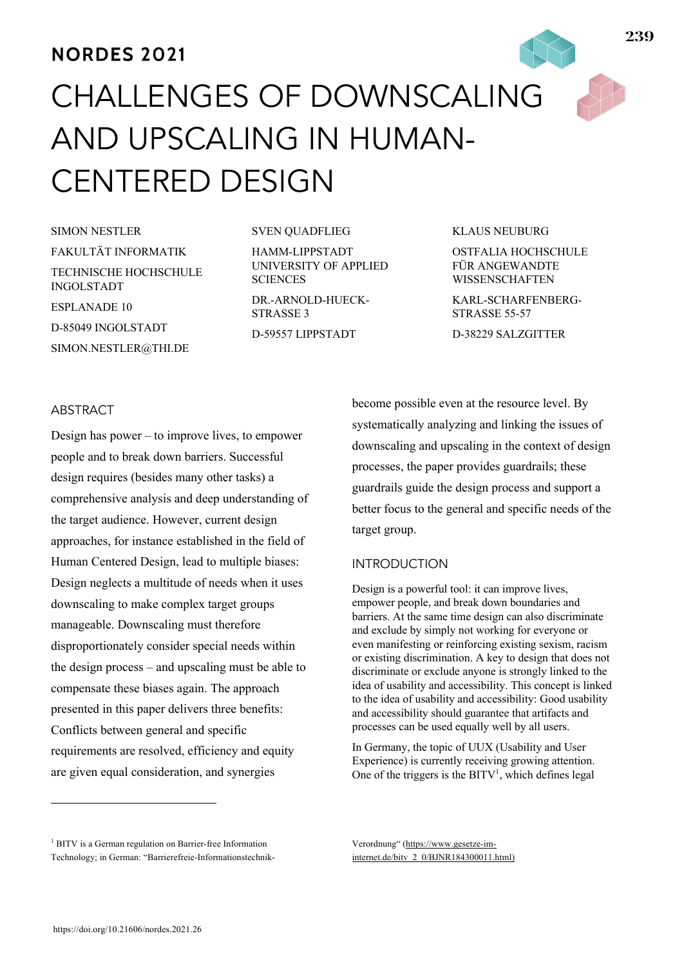# **NORDES 2021**

# CHALLENGES OF DOWNSCALING AND UPSCALING IN HUMAN-CENTERED DESIGN

SIMON NESTLER FAKULTÄT INFORMATIK TECHNISCHE HOCHSCHULE INGOLSTADT ESPLANADE 10 D-85049 INGOLSTADT SIMON.NESTLER@THI.DE

#### SVEN QUADFLIEG

HAMM-LIPPSTADT UNIVERSITY OF APPLIED **SCIENCES** 

DR.-ARNOLD-HUECK-STRASSE 3 D-59557 LIPPSTADT

#### KLAUS NEUBURG

OSTFALIA HOCHSCHULE FÜR ANGEWANDTE WISSENSCHAFTEN

KARL-SCHARFENBERG-STRASSE 55-57

D-38229 SALZGITTER

# **ABSTRACT**

Design has power – to improve lives, to empower people and to break down barriers. Successful design requires (besides many other tasks) a comprehensive analysis and deep understanding of the target audience. However, current design approaches, for instance established in the field of Human Centered Design, lead to multiple biases: Design neglects a multitude of needs when it uses downscaling to make complex target groups manageable. Downscaling must therefore disproportionately consider special needs within the design process – and upscaling must be able to compensate these biases again. The approach presented in this paper delivers three benefits: Conflicts between general and specific requirements are resolved, efficiency and equity are given equal consideration, and synergies

become possible even at the resource level. By systematically analyzing and linking the issues of downscaling and upscaling in the context of design processes, the paper provides guardrails; these guardrails guide the design process and support a better focus to the general and specific needs of the target group.

# INTRODUCTION

Design is a powerful tool: it can improve lives, empower people, and break down boundaries and barriers. At the same time design can also discriminate and exclude by simply not working for everyone or even manifesting or reinforcing existing sexism, racism or existing discrimination. A key to design that does not discriminate or exclude anyone is strongly linked to the idea of usability and accessibility. This concept is linked to the idea of usability and accessibility: Good usability and accessibility should guarantee that artifacts and processes can be used equally well by all users.

In Germany, the topic of UUX (Usability and User Experience) is currently receiving growing attention. One of the triggers is the BITV<sup>1</sup>, which defines legal

Verordnung" (https://www.gesetze-iminternet.de/bitv\_2\_0/BJNR184300011.html)

<sup>&</sup>lt;sup>1</sup> BITV is a German regulation on Barrier-free Information Technology; in German: "Barrierefreie-Informationstechnik-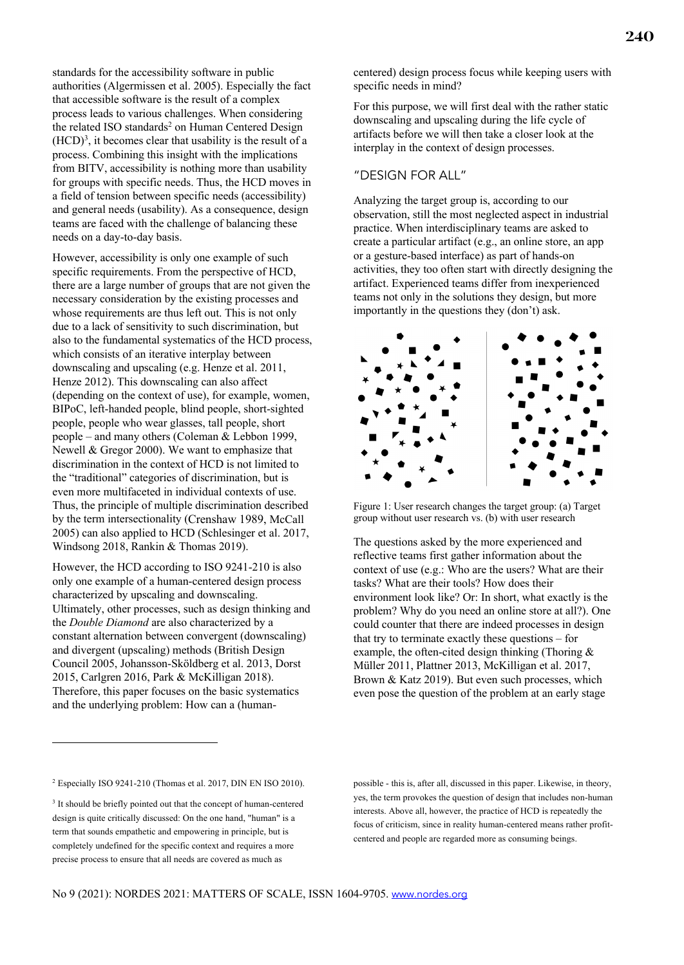standards for the accessibility software in public authorities (Algermissen et al. 2005). Especially the fact that accessible software is the result of a complex process leads to various challenges. When considering the related ISO standards<sup>2</sup> on Human Centered Design  $(HCD)<sup>3</sup>$ , it becomes clear that usability is the result of a process. Combining this insight with the implications from BITV, accessibility is nothing more than usability for groups with specific needs. Thus, the HCD moves in a field of tension between specific needs (accessibility) and general needs (usability). As a consequence, design teams are faced with the challenge of balancing these needs on a day-to-day basis.

However, accessibility is only one example of such specific requirements. From the perspective of HCD, there are a large number of groups that are not given the necessary consideration by the existing processes and whose requirements are thus left out. This is not only due to a lack of sensitivity to such discrimination, but also to the fundamental systematics of the HCD process, which consists of an iterative interplay between downscaling and upscaling (e.g. Henze et al. 2011, Henze 2012). This downscaling can also affect (depending on the context of use), for example, women, BIPoC, left-handed people, blind people, short-sighted people, people who wear glasses, tall people, short people – and many others (Coleman & Lebbon 1999, Newell & Gregor 2000). We want to emphasize that discrimination in the context of HCD is not limited to the "traditional" categories of discrimination, but is even more multifaceted in individual contexts of use. Thus, the principle of multiple discrimination described by the term intersectionality (Crenshaw 1989, McCall 2005) can also applied to HCD (Schlesinger et al. 2017, Windsong 2018, Rankin & Thomas 2019).

However, the HCD according to ISO 9241-210 is also only one example of a human-centered design process characterized by upscaling and downscaling. Ultimately, other processes, such as design thinking and the *Double Diamond* are also characterized by a constant alternation between convergent (downscaling) and divergent (upscaling) methods (British Design Council 2005, Johansson-Sköldberg et al. 2013, Dorst 2015, Carlgren 2016, Park & McKilligan 2018). Therefore, this paper focuses on the basic systematics and the underlying problem: How can a (humancentered) design process focus while keeping users with specific needs in mind?

For this purpose, we will first deal with the rather static downscaling and upscaling during the life cycle of artifacts before we will then take a closer look at the interplay in the context of design processes.

# "DESIGN FOR ALL"

Analyzing the target group is, according to our observation, still the most neglected aspect in industrial practice. When interdisciplinary teams are asked to create a particular artifact (e.g., an online store, an app or a gesture-based interface) as part of hands-on activities, they too often start with directly designing the artifact. Experienced teams differ from inexperienced teams not only in the solutions they design, but more importantly in the questions they (don't) ask.



Figure 1: User research changes the target group: (a) Target group without user research vs. (b) with user research

The questions asked by the more experienced and reflective teams first gather information about the context of use (e.g.: Who are the users? What are their tasks? What are their tools? How does their environment look like? Or: In short, what exactly is the problem? Why do you need an online store at all?). One could counter that there are indeed processes in design that try to terminate exactly these questions – for example, the often-cited design thinking (Thoring & Müller 2011, Plattner 2013, McKilligan et al. 2017, Brown & Katz 2019). But even such processes, which even pose the question of the problem at an early stage

<sup>2</sup> Especially ISO 9241-210 (Thomas et al. 2017, DIN EN ISO 2010).

<sup>&</sup>lt;sup>3</sup> It should be briefly pointed out that the concept of human-centered design is quite critically discussed: On the one hand, "human" is a term that sounds empathetic and empowering in principle, but is completely undefined for the specific context and requires a more precise process to ensure that all needs are covered as much as

possible - this is, after all, discussed in this paper. Likewise, in theory, yes, the term provokes the question of design that includes non-human interests. Above all, however, the practice of HCD is repeatedly the focus of criticism, since in reality human-centered means rather profitcentered and people are regarded more as consuming beings.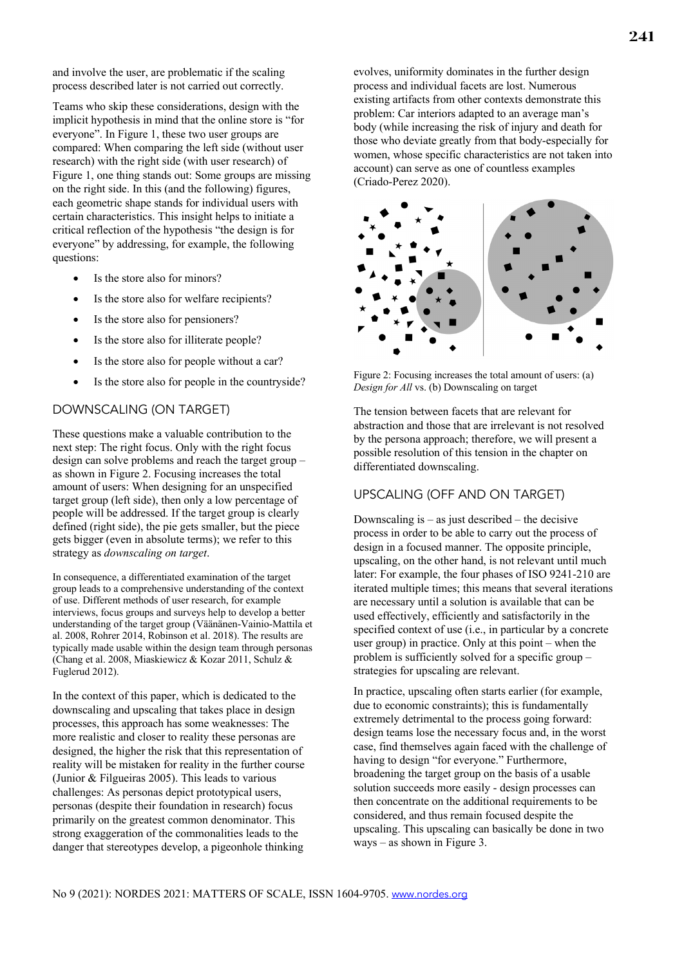and involve the user, are problematic if the scaling process described later is not carried out correctly.

Teams who skip these considerations, design with the implicit hypothesis in mind that the online store is "for everyone". In Figure 1, these two user groups are compared: When comparing the left side (without user research) with the right side (with user research) of Figure 1, one thing stands out: Some groups are missing on the right side. In this (and the following) figures, each geometric shape stands for individual users with certain characteristics. This insight helps to initiate a critical reflection of the hypothesis "the design is for everyone" by addressing, for example, the following questions:

- Is the store also for minors?
- Is the store also for welfare recipients?
- Is the store also for pensioners?
- Is the store also for illiterate people?
- Is the store also for people without a car?
- Is the store also for people in the countryside?

# DOWNSCALING (ON TARGET)

These questions make a valuable contribution to the next step: The right focus. Only with the right focus design can solve problems and reach the target group – as shown in Figure 2. Focusing increases the total amount of users: When designing for an unspecified target group (left side), then only a low percentage of people will be addressed. If the target group is clearly defined (right side), the pie gets smaller, but the piece gets bigger (even in absolute terms); we refer to this strategy as *downscaling on target*.

In consequence, a differentiated examination of the target group leads to a comprehensive understanding of the context of use. Different methods of user research, for example interviews, focus groups and surveys help to develop a better understanding of the target group (Väänänen-Vainio-Mattila et al. 2008, Rohrer 2014, Robinson et al. 2018). The results are typically made usable within the design team through personas (Chang et al. 2008, Miaskiewicz & Kozar 2011, Schulz & Fuglerud 2012).

In the context of this paper, which is dedicated to the downscaling and upscaling that takes place in design processes, this approach has some weaknesses: The more realistic and closer to reality these personas are designed, the higher the risk that this representation of reality will be mistaken for reality in the further course (Junior & Filgueiras 2005). This leads to various challenges: As personas depict prototypical users, personas (despite their foundation in research) focus primarily on the greatest common denominator. This strong exaggeration of the commonalities leads to the danger that stereotypes develop, a pigeonhole thinking evolves, uniformity dominates in the further design process and individual facets are lost. Numerous existing artifacts from other contexts demonstrate this problem: Car interiors adapted to an average man's body (while increasing the risk of injury and death for those who deviate greatly from that body-especially for women, whose specific characteristics are not taken into account) can serve as one of countless examples (Criado-Perez 2020).



Figure 2: Focusing increases the total amount of users: (a) *Design for All* vs. (b) Downscaling on target

The tension between facets that are relevant for abstraction and those that are irrelevant is not resolved by the persona approach; therefore, we will present a possible resolution of this tension in the chapter on differentiated downscaling.

# UPSCALING (OFF AND ON TARGET)

Downscaling is  $-$  as just described  $-$  the decisive process in order to be able to carry out the process of design in a focused manner. The opposite principle, upscaling, on the other hand, is not relevant until much later: For example, the four phases of ISO 9241-210 are iterated multiple times; this means that several iterations are necessary until a solution is available that can be used effectively, efficiently and satisfactorily in the specified context of use (i.e., in particular by a concrete user group) in practice. Only at this point – when the problem is sufficiently solved for a specific group – strategies for upscaling are relevant.

In practice, upscaling often starts earlier (for example, due to economic constraints); this is fundamentally extremely detrimental to the process going forward: design teams lose the necessary focus and, in the worst case, find themselves again faced with the challenge of having to design "for everyone." Furthermore, broadening the target group on the basis of a usable solution succeeds more easily - design processes can then concentrate on the additional requirements to be considered, and thus remain focused despite the upscaling. This upscaling can basically be done in two ways – as shown in Figure 3.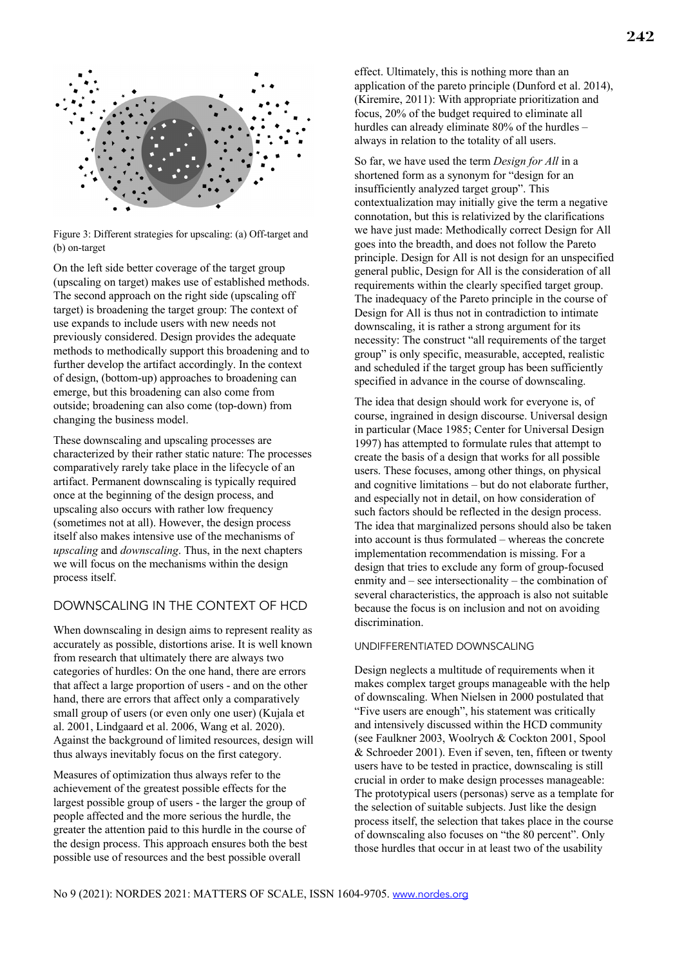

Figure 3: Different strategies for upscaling: (a) Off-target and (b) on-target

On the left side better coverage of the target group (upscaling on target) makes use of established methods. The second approach on the right side (upscaling off target) is broadening the target group: The context of use expands to include users with new needs not previously considered. Design provides the adequate methods to methodically support this broadening and to further develop the artifact accordingly. In the context of design, (bottom-up) approaches to broadening can emerge, but this broadening can also come from outside; broadening can also come (top-down) from changing the business model.

These downscaling and upscaling processes are characterized by their rather static nature: The processes comparatively rarely take place in the lifecycle of an artifact. Permanent downscaling is typically required once at the beginning of the design process, and upscaling also occurs with rather low frequency (sometimes not at all). However, the design process itself also makes intensive use of the mechanisms of *upscaling* and *downscaling*. Thus, in the next chapters we will focus on the mechanisms within the design process itself.

# DOWNSCALING IN THE CONTEXT OF HCD

When downscaling in design aims to represent reality as accurately as possible, distortions arise. It is well known from research that ultimately there are always two categories of hurdles: On the one hand, there are errors that affect a large proportion of users - and on the other hand, there are errors that affect only a comparatively small group of users (or even only one user) (Kujala et al. 2001, Lindgaard et al. 2006, Wang et al. 2020). Against the background of limited resources, design will thus always inevitably focus on the first category.

Measures of optimization thus always refer to the achievement of the greatest possible effects for the largest possible group of users - the larger the group of people affected and the more serious the hurdle, the greater the attention paid to this hurdle in the course of the design process. This approach ensures both the best possible use of resources and the best possible overall

effect. Ultimately, this is nothing more than an application of the pareto principle (Dunford et al. 2014), (Kiremire, 2011): With appropriate prioritization and focus, 20% of the budget required to eliminate all hurdles can already eliminate 80% of the hurdles – always in relation to the totality of all users.

So far, we have used the term *Design for All* in a shortened form as a synonym for "design for an insufficiently analyzed target group". This contextualization may initially give the term a negative connotation, but this is relativized by the clarifications we have just made: Methodically correct Design for All goes into the breadth, and does not follow the Pareto principle. Design for All is not design for an unspecified general public, Design for All is the consideration of all requirements within the clearly specified target group. The inadequacy of the Pareto principle in the course of Design for All is thus not in contradiction to intimate downscaling, it is rather a strong argument for its necessity: The construct "all requirements of the target group" is only specific, measurable, accepted, realistic and scheduled if the target group has been sufficiently specified in advance in the course of downscaling.

The idea that design should work for everyone is, of course, ingrained in design discourse. Universal design in particular (Mace 1985; Center for Universal Design 1997) has attempted to formulate rules that attempt to create the basis of a design that works for all possible users. These focuses, among other things, on physical and cognitive limitations – but do not elaborate further, and especially not in detail, on how consideration of such factors should be reflected in the design process. The idea that marginalized persons should also be taken into account is thus formulated – whereas the concrete implementation recommendation is missing. For a design that tries to exclude any form of group-focused enmity and – see intersectionality – the combination of several characteristics, the approach is also not suitable because the focus is on inclusion and not on avoiding discrimination.

#### UNDIFFERENTIATED DOWNSCALING

Design neglects a multitude of requirements when it makes complex target groups manageable with the help of downscaling. When Nielsen in 2000 postulated that "Five users are enough", his statement was critically and intensively discussed within the HCD community (see Faulkner 2003, Woolrych & Cockton 2001, Spool & Schroeder 2001). Even if seven, ten, fifteen or twenty users have to be tested in practice, downscaling is still crucial in order to make design processes manageable: The prototypical users (personas) serve as a template for the selection of suitable subjects. Just like the design process itself, the selection that takes place in the course of downscaling also focuses on "the 80 percent". Only those hurdles that occur in at least two of the usability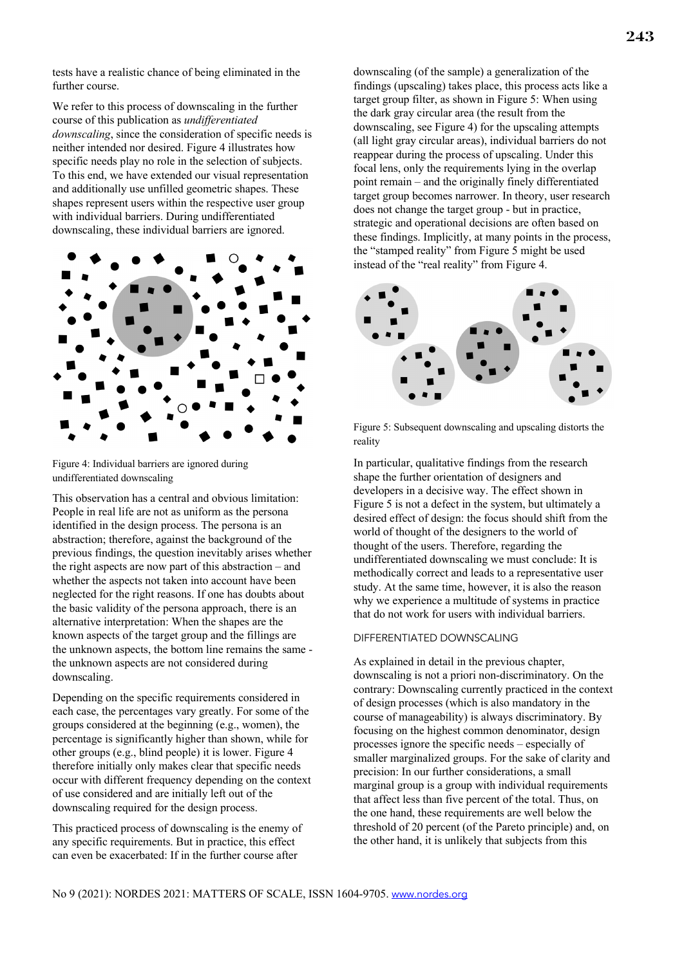tests have a realistic chance of being eliminated in the further course.

We refer to this process of downscaling in the further course of this publication as *undifferentiated downscaling*, since the consideration of specific needs is neither intended nor desired. Figure 4 illustrates how specific needs play no role in the selection of subjects. To this end, we have extended our visual representation and additionally use unfilled geometric shapes. These shapes represent users within the respective user group with individual barriers. During undifferentiated downscaling, these individual barriers are ignored.



Figure 4: Individual barriers are ignored during undifferentiated downscaling

This observation has a central and obvious limitation: People in real life are not as uniform as the persona identified in the design process. The persona is an abstraction; therefore, against the background of the previous findings, the question inevitably arises whether the right aspects are now part of this abstraction – and whether the aspects not taken into account have been neglected for the right reasons. If one has doubts about the basic validity of the persona approach, there is an alternative interpretation: When the shapes are the known aspects of the target group and the fillings are the unknown aspects, the bottom line remains the same the unknown aspects are not considered during downscaling.

Depending on the specific requirements considered in each case, the percentages vary greatly. For some of the groups considered at the beginning (e.g., women), the percentage is significantly higher than shown, while for other groups (e.g., blind people) it is lower. Figure 4 therefore initially only makes clear that specific needs occur with different frequency depending on the context of use considered and are initially left out of the downscaling required for the design process.

This practiced process of downscaling is the enemy of any specific requirements. But in practice, this effect can even be exacerbated: If in the further course after

downscaling (of the sample) a generalization of the findings (upscaling) takes place, this process acts like a target group filter, as shown in Figure 5: When using the dark gray circular area (the result from the downscaling, see Figure 4) for the upscaling attempts (all light gray circular areas), individual barriers do not reappear during the process of upscaling. Under this focal lens, only the requirements lying in the overlap point remain – and the originally finely differentiated target group becomes narrower. In theory, user research does not change the target group - but in practice, strategic and operational decisions are often based on these findings. Implicitly, at many points in the process, the "stamped reality" from Figure 5 might be used instead of the "real reality" from Figure 4.



Figure 5: Subsequent downscaling and upscaling distorts the reality

In particular, qualitative findings from the research shape the further orientation of designers and developers in a decisive way. The effect shown in Figure 5 is not a defect in the system, but ultimately a desired effect of design: the focus should shift from the world of thought of the designers to the world of thought of the users. Therefore, regarding the undifferentiated downscaling we must conclude: It is methodically correct and leads to a representative user study. At the same time, however, it is also the reason why we experience a multitude of systems in practice that do not work for users with individual barriers.

#### DIFFERENTIATED DOWNSCALING

As explained in detail in the previous chapter, downscaling is not a priori non-discriminatory. On the contrary: Downscaling currently practiced in the context of design processes (which is also mandatory in the course of manageability) is always discriminatory. By focusing on the highest common denominator, design processes ignore the specific needs – especially of smaller marginalized groups. For the sake of clarity and precision: In our further considerations, a small marginal group is a group with individual requirements that affect less than five percent of the total. Thus, on the one hand, these requirements are well below the threshold of 20 percent (of the Pareto principle) and, on the other hand, it is unlikely that subjects from this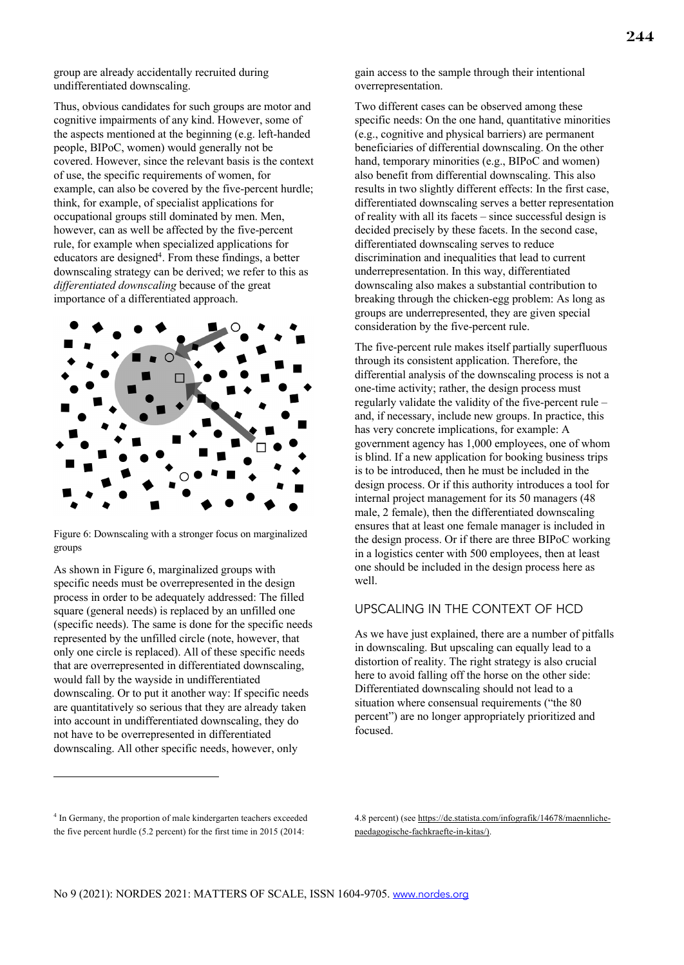group are already accidentally recruited during undifferentiated downscaling.

Thus, obvious candidates for such groups are motor and cognitive impairments of any kind. However, some of the aspects mentioned at the beginning (e.g. left-handed people, BIPoC, women) would generally not be covered. However, since the relevant basis is the context of use, the specific requirements of women, for example, can also be covered by the five-percent hurdle; think, for example, of specialist applications for occupational groups still dominated by men. Men, however, can as well be affected by the five-percent rule, for example when specialized applications for educators are designed<sup>4</sup>. From these findings, a better downscaling strategy can be derived; we refer to this as *differentiated downscaling* because of the great importance of a differentiated approach.



Figure 6: Downscaling with a stronger focus on marginalized groups

As shown in Figure 6, marginalized groups with specific needs must be overrepresented in the design process in order to be adequately addressed: The filled square (general needs) is replaced by an unfilled one (specific needs). The same is done for the specific needs represented by the unfilled circle (note, however, that only one circle is replaced). All of these specific needs that are overrepresented in differentiated downscaling, would fall by the wayside in undifferentiated downscaling. Or to put it another way: If specific needs are quantitatively so serious that they are already taken into account in undifferentiated downscaling, they do not have to be overrepresented in differentiated downscaling. All other specific needs, however, only

gain access to the sample through their intentional overrepresentation.

Two different cases can be observed among these specific needs: On the one hand, quantitative minorities (e.g., cognitive and physical barriers) are permanent beneficiaries of differential downscaling. On the other hand, temporary minorities (e.g., BIPoC and women) also benefit from differential downscaling. This also results in two slightly different effects: In the first case, differentiated downscaling serves a better representation of reality with all its facets – since successful design is decided precisely by these facets. In the second case, differentiated downscaling serves to reduce discrimination and inequalities that lead to current underrepresentation. In this way, differentiated downscaling also makes a substantial contribution to breaking through the chicken-egg problem: As long as groups are underrepresented, they are given special consideration by the five-percent rule.

The five-percent rule makes itself partially superfluous through its consistent application. Therefore, the differential analysis of the downscaling process is not a one-time activity; rather, the design process must regularly validate the validity of the five-percent rule – and, if necessary, include new groups. In practice, this has very concrete implications, for example: A government agency has 1,000 employees, one of whom is blind. If a new application for booking business trips is to be introduced, then he must be included in the design process. Or if this authority introduces a tool for internal project management for its 50 managers (48 male, 2 female), then the differentiated downscaling ensures that at least one female manager is included in the design process. Or if there are three BIPoC working in a logistics center with 500 employees, then at least one should be included in the design process here as well.

# UPSCALING IN THE CONTEXT OF HCD

As we have just explained, there are a number of pitfalls in downscaling. But upscaling can equally lead to a distortion of reality. The right strategy is also crucial here to avoid falling off the horse on the other side: Differentiated downscaling should not lead to a situation where consensual requirements ("the 80 percent") are no longer appropriately prioritized and focused.

<sup>4</sup> In Germany, the proportion of male kindergarten teachers exceeded the five percent hurdle (5.2 percent) for the first time in 2015 (2014:

<sup>4.8</sup> percent) (see https://de.statista.com/infografik/14678/maennlichepaedagogische-fachkraefte-in-kitas/).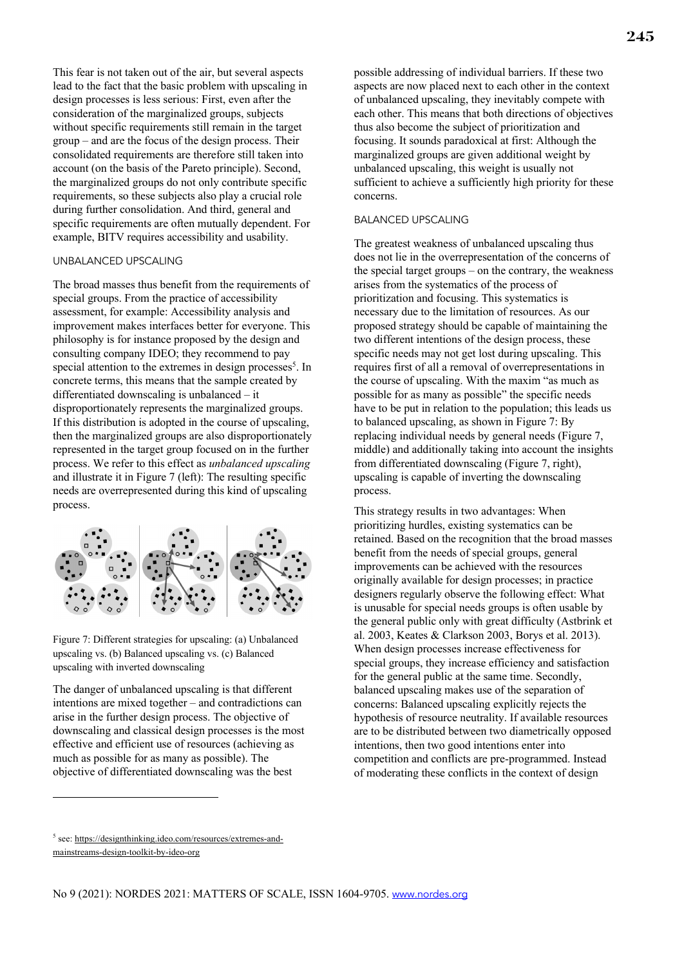This fear is not taken out of the air, but several aspects lead to the fact that the basic problem with upscaling in design processes is less serious: First, even after the consideration of the marginalized groups, subjects without specific requirements still remain in the target group – and are the focus of the design process. Their consolidated requirements are therefore still taken into account (on the basis of the Pareto principle). Second, the marginalized groups do not only contribute specific requirements, so these subjects also play a crucial role during further consolidation. And third, general and specific requirements are often mutually dependent. For example, BITV requires accessibility and usability.

#### UNBALANCED UPSCALING

The broad masses thus benefit from the requirements of special groups. From the practice of accessibility assessment, for example: Accessibility analysis and improvement makes interfaces better for everyone. This philosophy is for instance proposed by the design and consulting company IDEO; they recommend to pay special attention to the extremes in design processes<sup>5</sup>. In concrete terms, this means that the sample created by differentiated downscaling is unbalanced – it disproportionately represents the marginalized groups. If this distribution is adopted in the course of upscaling, then the marginalized groups are also disproportionately represented in the target group focused on in the further process. We refer to this effect as *unbalanced upscaling* and illustrate it in Figure 7 (left): The resulting specific needs are overrepresented during this kind of upscaling process.



Figure 7: Different strategies for upscaling: (a) Unbalanced upscaling vs. (b) Balanced upscaling vs. (c) Balanced upscaling with inverted downscaling

The danger of unbalanced upscaling is that different intentions are mixed together – and contradictions can arise in the further design process. The objective of downscaling and classical design processes is the most effective and efficient use of resources (achieving as much as possible for as many as possible). The objective of differentiated downscaling was the best

possible addressing of individual barriers. If these two aspects are now placed next to each other in the context of unbalanced upscaling, they inevitably compete with each other. This means that both directions of objectives thus also become the subject of prioritization and focusing. It sounds paradoxical at first: Although the marginalized groups are given additional weight by unbalanced upscaling, this weight is usually not sufficient to achieve a sufficiently high priority for these concerns.

#### BALANCED UPSCALING

The greatest weakness of unbalanced upscaling thus does not lie in the overrepresentation of the concerns of the special target groups – on the contrary, the weakness arises from the systematics of the process of prioritization and focusing. This systematics is necessary due to the limitation of resources. As our proposed strategy should be capable of maintaining the two different intentions of the design process, these specific needs may not get lost during upscaling. This requires first of all a removal of overrepresentations in the course of upscaling. With the maxim "as much as possible for as many as possible" the specific needs have to be put in relation to the population; this leads us to balanced upscaling, as shown in Figure 7: By replacing individual needs by general needs (Figure 7, middle) and additionally taking into account the insights from differentiated downscaling (Figure 7, right), upscaling is capable of inverting the downscaling process.

This strategy results in two advantages: When prioritizing hurdles, existing systematics can be retained. Based on the recognition that the broad masses benefit from the needs of special groups, general improvements can be achieved with the resources originally available for design processes; in practice designers regularly observe the following effect: What is unusable for special needs groups is often usable by the general public only with great difficulty (Astbrink et al. 2003, Keates & Clarkson 2003, Borys et al. 2013). When design processes increase effectiveness for special groups, they increase efficiency and satisfaction for the general public at the same time. Secondly, balanced upscaling makes use of the separation of concerns: Balanced upscaling explicitly rejects the hypothesis of resource neutrality. If available resources are to be distributed between two diametrically opposed intentions, then two good intentions enter into competition and conflicts are pre-programmed. Instead of moderating these conflicts in the context of design

<sup>5</sup> see: https://designthinking.ideo.com/resources/extremes-andmainstreams-design-toolkit-by-ideo-org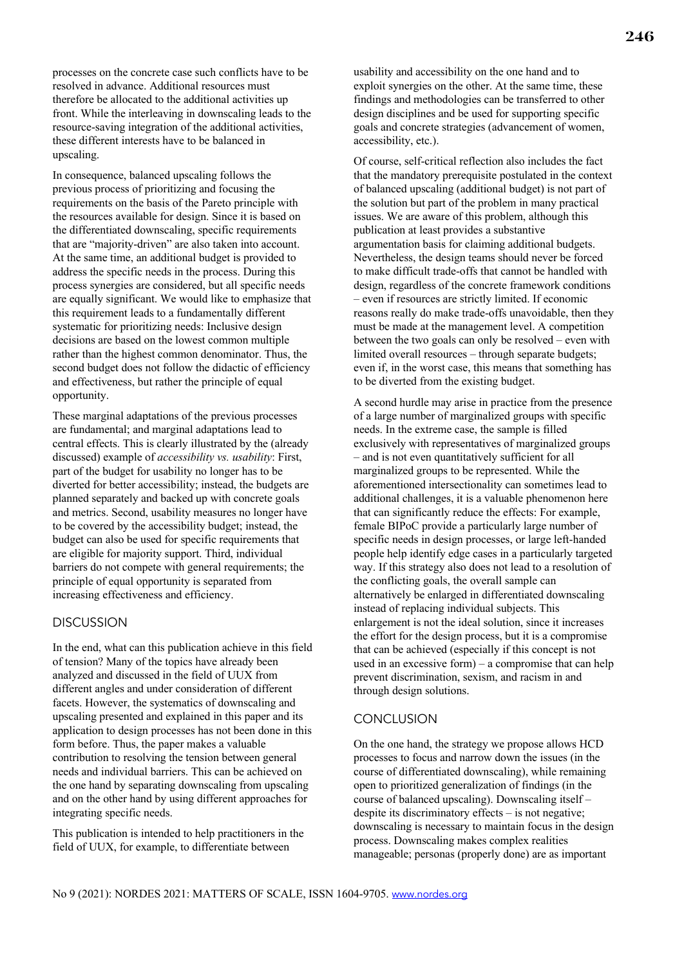processes on the concrete case such conflicts have to be resolved in advance. Additional resources must therefore be allocated to the additional activities up front. While the interleaving in downscaling leads to the resource-saving integration of the additional activities, these different interests have to be balanced in upscaling.

In consequence, balanced upscaling follows the previous process of prioritizing and focusing the requirements on the basis of the Pareto principle with the resources available for design. Since it is based on the differentiated downscaling, specific requirements that are "majority-driven" are also taken into account. At the same time, an additional budget is provided to address the specific needs in the process. During this process synergies are considered, but all specific needs are equally significant. We would like to emphasize that this requirement leads to a fundamentally different systematic for prioritizing needs: Inclusive design decisions are based on the lowest common multiple rather than the highest common denominator. Thus, the second budget does not follow the didactic of efficiency and effectiveness, but rather the principle of equal opportunity.

These marginal adaptations of the previous processes are fundamental; and marginal adaptations lead to central effects. This is clearly illustrated by the (already discussed) example of *accessibility vs. usability*: First, part of the budget for usability no longer has to be diverted for better accessibility; instead, the budgets are planned separately and backed up with concrete goals and metrics. Second, usability measures no longer have to be covered by the accessibility budget; instead, the budget can also be used for specific requirements that are eligible for majority support. Third, individual barriers do not compete with general requirements; the principle of equal opportunity is separated from increasing effectiveness and efficiency.

### **DISCUSSION**

In the end, what can this publication achieve in this field of tension? Many of the topics have already been analyzed and discussed in the field of UUX from different angles and under consideration of different facets. However, the systematics of downscaling and upscaling presented and explained in this paper and its application to design processes has not been done in this form before. Thus, the paper makes a valuable contribution to resolving the tension between general needs and individual barriers. This can be achieved on the one hand by separating downscaling from upscaling and on the other hand by using different approaches for integrating specific needs.

This publication is intended to help practitioners in the field of UUX, for example, to differentiate between

usability and accessibility on the one hand and to exploit synergies on the other. At the same time, these findings and methodologies can be transferred to other design disciplines and be used for supporting specific goals and concrete strategies (advancement of women, accessibility, etc.).

Of course, self-critical reflection also includes the fact that the mandatory prerequisite postulated in the context of balanced upscaling (additional budget) is not part of the solution but part of the problem in many practical issues. We are aware of this problem, although this publication at least provides a substantive argumentation basis for claiming additional budgets. Nevertheless, the design teams should never be forced to make difficult trade-offs that cannot be handled with design, regardless of the concrete framework conditions – even if resources are strictly limited. If economic reasons really do make trade-offs unavoidable, then they must be made at the management level. A competition between the two goals can only be resolved – even with limited overall resources – through separate budgets; even if, in the worst case, this means that something has to be diverted from the existing budget.

A second hurdle may arise in practice from the presence of a large number of marginalized groups with specific needs. In the extreme case, the sample is filled exclusively with representatives of marginalized groups – and is not even quantitatively sufficient for all marginalized groups to be represented. While the aforementioned intersectionality can sometimes lead to additional challenges, it is a valuable phenomenon here that can significantly reduce the effects: For example, female BIPoC provide a particularly large number of specific needs in design processes, or large left-handed people help identify edge cases in a particularly targeted way. If this strategy also does not lead to a resolution of the conflicting goals, the overall sample can alternatively be enlarged in differentiated downscaling instead of replacing individual subjects. This enlargement is not the ideal solution, since it increases the effort for the design process, but it is a compromise that can be achieved (especially if this concept is not used in an excessive form) – a compromise that can help prevent discrimination, sexism, and racism in and through design solutions.

#### **CONCLUSION**

On the one hand, the strategy we propose allows HCD processes to focus and narrow down the issues (in the course of differentiated downscaling), while remaining open to prioritized generalization of findings (in the course of balanced upscaling). Downscaling itself – despite its discriminatory effects – is not negative; downscaling is necessary to maintain focus in the design process. Downscaling makes complex realities manageable; personas (properly done) are as important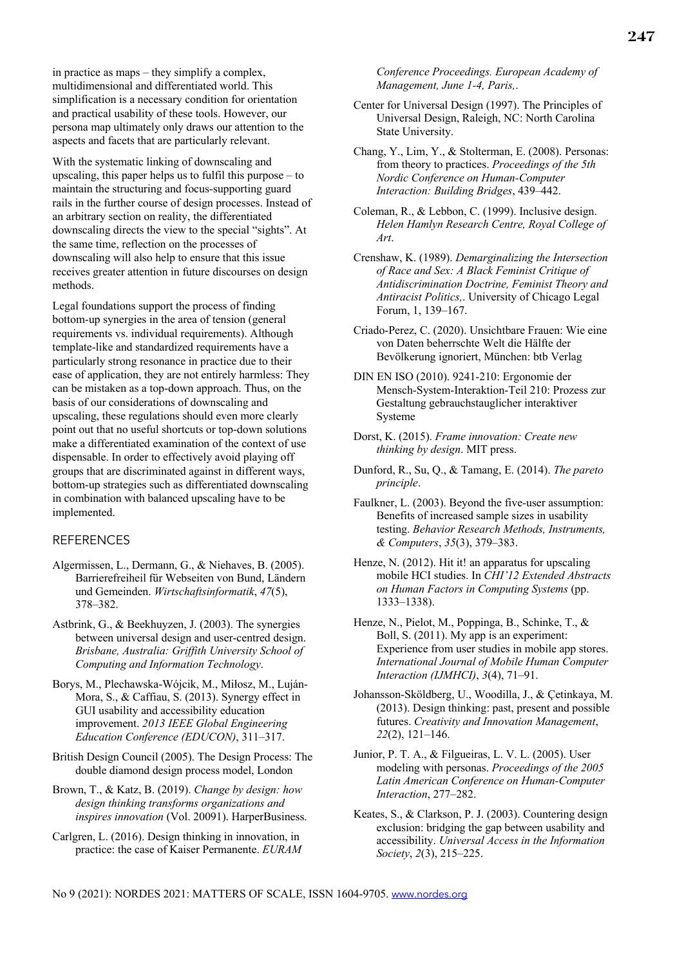in practice as maps – they simplify a complex, multidimensional and differentiated world. This simplification is a necessary condition for orientation and practical usability of these tools. However, our persona map ultimately only draws our attention to the aspects and facets that are particularly relevant.

With the systematic linking of downscaling and upscaling, this paper helps us to fulfil this purpose – to maintain the structuring and focus-supporting guard rails in the further course of design processes. Instead of an arbitrary section on reality, the differentiated downscaling directs the view to the special "sights". At the same time, reflection on the processes of downscaling will also help to ensure that this issue receives greater attention in future discourses on design methods.

Legal foundations support the process of finding bottom-up synergies in the area of tension (general requirements vs. individual requirements). Although template-like and standardized requirements have a particularly strong resonance in practice due to their ease of application, they are not entirely harmless: They can be mistaken as a top-down approach. Thus, on the basis of our considerations of downscaling and upscaling, these regulations should even more clearly point out that no useful shortcuts or top-down solutions make a differentiated examination of the context of use dispensable. In order to effectively avoid playing off groups that are discriminated against in different ways, bottom-up strategies such as differentiated downscaling in combination with balanced upscaling have to be implemented.

#### **REFERENCES**

- Algermissen, L., Dermann, G., & Niehaves, B. (2005). Barrierefreiheil für Webseiten von Bund, Ländern und Gemeinden. *Wirtschaftsinformatik*, *47*(5), 378–382.
- Astbrink, G., & Beekhuyzen, J. (2003). The synergies between universal design and user-centred design. *Brisbane, Australia: Griffith University School of Computing and Information Technology*.
- Borys, M., Plechawska-Wójcik, M., Miłosz, M., Luján-Mora, S., & Caffiau, S. (2013). Synergy effect in GUI usability and accessibility education improvement. *2013 IEEE Global Engineering Education Conference (EDUCON)*, 311–317.
- British Design Council (2005). The Design Process: The double diamond design process model, London
- Brown, T., & Katz, B. (2019). *Change by design: how design thinking transforms organizations and inspires innovation* (Vol. 20091). HarperBusiness.
- Carlgren, L. (2016). Design thinking in innovation, in practice: the case of Kaiser Permanente. *EURAM*

*Conference Proceedings. European Academy of Management, June 1-4, Paris,*.

- Center for Universal Design (1997). The Principles of Universal Design, Raleigh, NC: North Carolina State University.
- Chang, Y., Lim, Y., & Stolterman, E. (2008). Personas: from theory to practices. *Proceedings of the 5th Nordic Conference on Human-Computer Interaction: Building Bridges*, 439–442.
- Coleman, R., & Lebbon, C. (1999). Inclusive design. *Helen Hamlyn Research Centre, Royal College of Art*.
- Crenshaw, K. (1989). *Demarginalizing the Intersection of Race and Sex: A Black Feminist Critique of Antidiscrimination Doctrine, Feminist Theory and Antiracist Politics,*. University of Chicago Legal Forum, 1, 139–167.
- Criado-Perez, C. (2020). Unsichtbare Frauen: Wie eine von Daten beherrschte Welt die Hälfte der Bevölkerung ignoriert, München: btb Verlag
- DIN EN ISO (2010). 9241-210: Ergonomie der Mensch-System-Interaktion-Teil 210: Prozess zur Gestaltung gebrauchstauglicher interaktiver Systeme
- Dorst, K. (2015). *Frame innovation: Create new thinking by design*. MIT press.
- Dunford, R., Su, Q., & Tamang, E. (2014). *The pareto principle*.
- Faulkner, L. (2003). Beyond the five-user assumption: Benefits of increased sample sizes in usability testing. *Behavior Research Methods, Instruments, & Computers*, *35*(3), 379–383.
- Henze, N. (2012). Hit it! an apparatus for upscaling mobile HCI studies. In *CHI'12 Extended Abstracts on Human Factors in Computing Systems* (pp. 1333–1338).
- Henze, N., Pielot, M., Poppinga, B., Schinke, T., & Boll, S. (2011). My app is an experiment: Experience from user studies in mobile app stores. *International Journal of Mobile Human Computer Interaction (IJMHCI)*, *3*(4), 71–91.
- Johansson-Sköldberg, U., Woodilla, J., & Çetinkaya, M. (2013). Design thinking: past, present and possible futures. *Creativity and Innovation Management*, *22*(2), 121–146.
- Junior, P. T. A., & Filgueiras, L. V. L. (2005). User modeling with personas. *Proceedings of the 2005 Latin American Conference on Human-Computer Interaction*, 277–282.
- Keates, S., & Clarkson, P. J. (2003). Countering design exclusion: bridging the gap between usability and accessibility. *Universal Access in the Information Society*, *2*(3), 215–225.